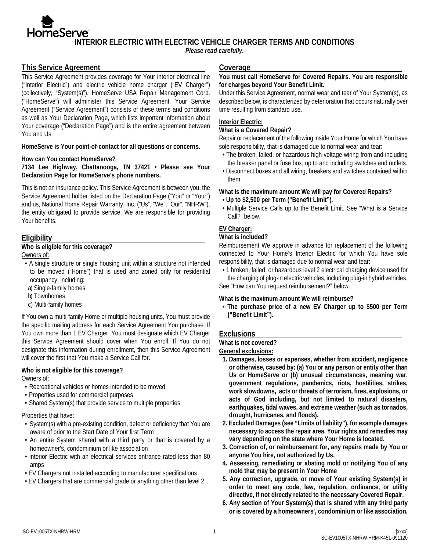**INTERIOR ELECTRIC WITH ELECTRIC VEHICLE CHARGER TERMS AND CONDITIONS** 

*Please read carefully.*

## **This Service Agreement**

This Service Agreement provides coverage for Your interior electrical line ("Interior Electric") and electric vehicle home charger ("EV Charger") (collectively, "System(s)"). HomeServe USA Repair Management Corp. ("HomeServe") will administer this Service Agreement. Your Service Agreement ("Service Agreement") consists of these terms and conditions as well as Your Declaration Page, which lists important information about Your coverage ("Declaration Page") and is the entire agreement between You and Us.

**HomeServe is Your point-of-contact for all questions or concerns.** 

#### **How can You contact HomeServe?**

**7134 Lee Highway, Chattanooga, TN 37421 • Please see Your Declaration Page for HomeServe's phone numbers.** 

This is not an insurance policy. This Service Agreement is between you, the Service Agreement holder listed on the Declaration Page ("You" or "Your") and us, National Home Repair Warranty, Inc. ("Us", "We", "Our", "NHRW"), the entity obligated to provide service. We are responsible for providing Your benefits.

### **Eligibility**

# **Who is eligible for this coverage?**

Owners of:

- A single structure or single housing unit within a structure not intended to be moved ("Home") that is used and zoned only for residential occupancy, including:
- a) Single-family homes
- b) Townhomes
- c) Multi-family homes

If You own a multi-family Home or multiple housing units, You must provide the specific mailing address for each Service Agreement You purchase. If You own more than 1 EV Charger, You must designate which EV Charger this Service Agreement should cover when You enroll. If You do not designate this information during enrollment, then this Service Agreement will cover the first that You make a Service Call for.

#### **Who is not eligible for this coverage?**

Owners of:

- Recreational vehicles or homes intended to be moved
- Properties used for commercial purposes
- Shared System(s) that provide service to multiple properties

## Properties that have:

- System(s) with a pre-existing condition, defect or deficiency that You are aware of prior to the Start Date of Your first Term
- An entire System shared with a third party or that is covered by a homeowner's, condominium or like association
- Interior Electric with an electrical services entrance rated less than 80 amps
- EV Chargers not installed according to manufacturer specifications
- EV Chargers that are commercial grade or anything other than level 2

## **Coverage**

### **You must call HomeServe for Covered Repairs. You are responsible for charges beyond Your Benefit Limit.**

Under this Service Agreement, normal wear and tear of Your System(s), as described below, is characterized by deterioration that occurs naturally over time resulting from standard use.

### **Interior Electric:**

### **What is a Covered Repair?**

Repair or replacement of the following inside Your Home for which You have sole responsibility, that is damaged due to normal wear and tear:

- The broken, failed, or hazardous high-voltage wiring from and including the breaker panel or fuse box, up to and including switches and outlets.
- Disconnect boxes and all wiring, breakers and switches contained within them.

### **What is the maximum amount We will pay for Covered Repairs?**

- **Up to \$2,500 per Term ("Benefit Limit").**
- Multiple Service Calls up to the Benefit Limit. See "What is a Service Call?" below.

## **EV Charger:**

#### **What is included?**

Reimbursement We approve in advance for replacement of the following connected to Your Home's Interior Electric for which You have sole responsibility, that is damaged due to normal wear and tear:

• 1 broken, failed, or hazardous level 2 electrical charging device used for

the charging of plug-in electric vehicles, including plug-in hybrid vehicles. See "How can You request reimbursement?" below.

#### **What is the maximum amount We will reimburse?**

• **The purchase price of a new EV Charger up to \$500 per Term ("Benefit Limit").** 

## **Exclusions**

### **What is not covered?**

#### **General exclusions:**

- **1. Damages, losses or expenses, whether from accident, negligence or otherwise, caused by: (a) You or any person or entity other than Us or HomeServe or (b) unusual circumstances, meaning war, government regulations, pandemics, riots, hostilities, strikes, work slowdowns, acts or threats of terrorism, fires, explosions, or acts of God including, but not limited to natural disasters, earthquakes, tidal waves, and extreme weather (such as tornados, drought, hurricanes, and floods).**
- **2. Excluded Damages (see "Limits of liability"), for example damages necessary to access the repair area. Your rights and remedies may vary depending on the state where Your Home is located.**
- **3. Correction of, or reimbursement for, any repairs made by You or anyone You hire, not authorized by Us.**
- **4. Assessing, remediating or abating mold or notifying You of any mold that may be present in Your Home**
- **5. Any correction, upgrade, or move of Your existing System(s) in order to meet any code, law, regulation, ordinance, or utility directive, if not directly related to the necessary Covered Repair.**
- **6. Any section of Your System(s) that is shared with any third party or is covered by a homeowners', condominium or like association.**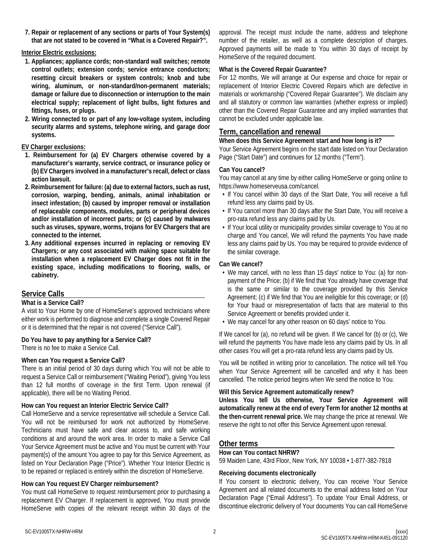**7. Repair or replacement of any sections or parts of Your System(s) that are not stated to be covered in "What is a Covered Repair?".**

#### **Interior Electric exclusions:**

- **1. Appliances; appliance cords; non-standard wall switches; remote control outlets; extension cords; service entrance conductors; resetting circuit breakers or system controls; knob and tube wiring, aluminum, or non-standard/non-permanent materials; damage or failure due to disconnection or interruption to the main electrical supply; replacement of light bulbs, light fixtures and fittings, fuses, or plugs.**
- **2. Wiring connected to or part of any low-voltage system, including security alarms and systems, telephone wiring, and garage door systems.**

### **EV Charger exclusions:**

- **1. Reimbursement for (a) EV Chargers otherwise covered by a manufacturer's warranty, service contract, or insurance policy or (b) EV Chargers involved in a manufacturer's recall, defect or class action lawsuit.**
- **2. Reimbursement for failure: (a) due to external factors, such as rust, corrosion, warping, bending, animals, animal inhabitation or insect infestation; (b) caused by improper removal or installation of replaceable components, modules, parts or peripheral devices and/or installation of incorrect parts; or (c) caused by malwares such as viruses, spyware, worms, trojans for EV Chargers that are connected to the internet.**
- **3. Any additional expenses incurred in replacing or removing EV Chargers; or any cost associated with making space suitable for installation when a replacement EV Charger does not fit in the existing space, including modifications to flooring, walls, or cabinetry.**

## **Service Calls**

### **What is a Service Call?**

A visit to Your Home by one of HomeServe's approved technicians where either work is performed to diagnose and complete a single Covered Repair or it is determined that the repair is not covered ("Service Call").

### **Do You have to pay anything for a Service Call?**

There is no fee to make a Service Call.

### **When can You request a Service Call?**

There is an initial period of 30 days during which You will not be able to request a Service Call or reimbursement ("Waiting Period"), giving You less than 12 full months of coverage in the first Term. Upon renewal (if applicable), there will be no Waiting Period.

### **How can You request an Interior Electric Service Call?**

Call HomeServe and a service representative will schedule a Service Call. You will not be reimbursed for work not authorized by HomeServe. Technicians must have safe and clear access to, and safe working conditions at and around the work area. In order to make a Service Call Your Service Agreement must be active and You must be current with Your payment(s) of the amount You agree to pay for this Service Agreement, as listed on Your Declaration Page ("Price"). Whether Your Interior Electric is to be repaired or replaced is entirely within the discretion of HomeServe.

#### **How can You request EV Charger reimbursement?**

You must call HomeServe to request reimbursement prior to purchasing a replacement EV Charger. If replacement is approved, You must provide HomeServe with copies of the relevant receipt within 30 days of the approval. The receipt must include the name, address and telephone number of the retailer, as well as a complete description of charges. Approved payments will be made to You within 30 days of receipt by HomeServe of the required document.

### **What is the Covered Repair Guarantee?**

For 12 months, We will arrange at Our expense and choice for repair or replacement of Interior Electric Covered Repairs which are defective in materials or workmanship ("Covered Repair Guarantee"). We disclaim any and all statutory or common law warranties (whether express or implied) other than the Covered Repair Guarantee and any implied warranties that cannot be excluded under applicable law.

## **Term, cancellation and renewal**

### **When does this Service Agreement start and how long is it?**

Your Service Agreement begins on the start date listed on Your Declaration Page ("Start Date") and continues for 12 months ("Term").

### **Can You cancel?**

You may cancel at any time by either calling HomeServe or going online to https://www.homeserveusa.com/cancel.

- If You cancel within 30 days of the Start Date, You will receive a full refund less any claims paid by Us.
- If You cancel more than 30 days after the Start Date, You will receive a pro-rata refund less any claims paid by Us.
- If Your local utility or municipality provides similar coverage to You at no charge and You cancel, We will refund the payments You have made less any claims paid by Us. You may be required to provide evidence of the similar coverage.

#### **Can We cancel?**

- We may cancel, with no less than 15 days' notice to You: (a) for nonpayment of the Price; (b) if We find that You already have coverage that is the same or similar to the coverage provided by this Service Agreement; (c) if We find that You are ineligible for this coverage; or (d) for Your fraud or misrepresentation of facts that are material to this Service Agreement or benefits provided under it.
- We may cancel for any other reason on 60 days' notice to You.

If We cancel for (a), no refund will be given. If We cancel for (b) or (c), We will refund the payments You have made less any claims paid by Us. In all other cases You will get a pro-rata refund less any claims paid by Us.

You will be notified in writing prior to cancellation. The notice will tell You when Your Service Agreement will be cancelled and why it has been cancelled. The notice period begins when We send the notice to You.

### **Will this Service Agreement automatically renew?**

**Unless You tell Us otherwise, Your Service Agreement will automatically renew at the end of every Term for another 12 months at the then-current renewal price.** We may change the price at renewal. We reserve the right to not offer this Service Agreement upon renewal.

### **Other terms**

### **How can You contact NHRW?**

59 Maiden Lane, 43rd Floor, New York, NY 10038 • 1-877-382-7818

#### **Receiving documents electronically**

If You consent to electronic delivery, You can receive Your Service Agreement and all related documents to the email address listed on Your Declaration Page ("Email Address"). To update Your Email Address, or discontinue electronic delivery of Your documents You can call HomeServe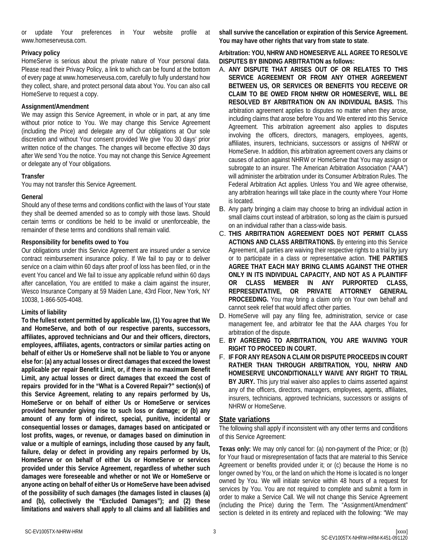or update Your preferences in Your website profile at www.homeserveusa.com.

### **Privacy policy**

HomeServe is serious about the private nature of Your personal data. Please read their Privacy Policy, a link to which can be found at the bottom of every page at www.homeserveusa.com, carefully to fully understand how they collect, share, and protect personal data about You. You can also call HomeServe to request a copy.

### **Assignment/Amendment**

We may assign this Service Agreement, in whole or in part, at any time without prior notice to You. We may change this Service Agreement (including the Price) and delegate any of Our obligations at Our sole discretion and without Your consent provided We give You 30 days' prior written notice of the changes. The changes will become effective 30 days after We send You the notice. You may not change this Service Agreement or delegate any of Your obligations.

### **Transfer**

You may not transfer this Service Agreement.

### **General**

Should any of these terms and conditions conflict with the laws of Your state they shall be deemed amended so as to comply with those laws. Should certain terms or conditions be held to be invalid or unenforceable, the remainder of these terms and conditions shall remain valid.

### **Responsibility for benefits owed to You**

Our obligations under this Service Agreement are insured under a service contract reimbursement insurance policy. If We fail to pay or to deliver service on a claim within 60 days after proof of loss has been filed, or in the event You cancel and We fail to issue any applicable refund within 60 days after cancellation, You are entitled to make a claim against the insurer, Wesco Insurance Company at 59 Maiden Lane, 43rd Floor, New York, NY 10038, 1-866-505-4048.

### **Limits of liability**

**To the fullest extent permitted by applicable law, (1) You agree that We and HomeServe, and both of our respective parents, successors, affiliates, approved technicians and Our and their officers, directors, employees, affiliates, agents, contractors or similar parties acting on behalf of either Us or HomeServe shall not be liable to You or anyone else for: (a) any actual losses or direct damages that exceed the lowest applicable per repair Benefit Limit, or, if there is no maximum Benefit Limit, any actual losses or direct damages that exceed the cost of repairs provided for in the "What is a Covered Repair?" section(s) of this Service Agreement, relating to any repairs performed by Us, HomeServe or on behalf of either Us or HomeServe or services provided hereunder giving rise to such loss or damage; or (b) any amount of any form of indirect, special, punitive, incidental or consequential losses or damages, damages based on anticipated or lost profits, wages, or revenue, or damages based on diminution in value or a multiple of earnings, including those caused by any fault, failure, delay or defect in providing any repairs performed by Us, HomeServe or on behalf of either Us or HomeServe or services provided under this Service Agreement, regardless of whether such damages were foreseeable and whether or not We or HomeServe or anyone acting on behalf of either Us or HomeServe have been advised of the possibility of such damages (the damages listed in clauses (a) and (b), collectively the "Excluded Damages"); and (2) these limitations and waivers shall apply to all claims and all liabilities and**  **shall survive the cancellation or expiration of this Service Agreement. You may have other rights that vary from state to state**.

### **Arbitration: YOU, NHRW AND HOMESERVE ALL AGREE TO RESOLVE DISPUTES BY BINDING ARBITRATION as follows:**

- A. **ANY DISPUTE THAT ARISES OUT OF OR RELATES TO THIS SERVICE AGREEMENT OR FROM ANY OTHER AGREEMENT BETWEEN US, OR SERVICES OR BENEFITS YOU RECEIVE OR CLAIM TO BE OWED FROM NHRW OR HOMESERVE, WILL BE RESOLVED BY ARBITRATION ON AN INDIVIDUAL BASIS.** This arbitration agreement applies to disputes no matter when they arose, including claims that arose before You and We entered into this Service Agreement. This arbitration agreement also applies to disputes involving the officers, directors, managers, employees, agents, affiliates, insurers, technicians, successors or assigns of NHRW or HomeServe. In addition, this arbitration agreement covers any claims or causes of action against NHRW or HomeServe that You may assign or subrogate to an insurer. The American Arbitration Association ("AAA") will administer the arbitration under its Consumer Arbitration Rules. The Federal Arbitration Act applies. Unless You and We agree otherwise, any arbitration hearings will take place in the county where Your Home is located.
- B. Any party bringing a claim may choose to bring an individual action in small claims court instead of arbitration, so long as the claim is pursued on an individual rather than a class-wide basis.
- C. **THIS ARBITRATION AGREEMENT DOES NOT PERMIT CLASS ACTIONS AND CLASS ARBITRATIONS.** By entering into this Service Agreement, all parties are waiving their respective rights to a trial by jury or to participate in a class or representative action. **THE PARTIES AGREE THAT EACH MAY BRING CLAIMS AGAINST THE OTHER ONLY IN ITS INDIVIDUAL CAPACITY, AND NOT AS A PLAINTIFF OR CLASS MEMBER IN ANY PURPORTED CLASS, REPRESENTATIVE, OR PRIVATE ATTORNEY GENERAL PROCEEDING.** You may bring a claim only on Your own behalf and cannot seek relief that would affect other parties.
- D. HomeServe will pay any filing fee, administration, service or case management fee, and arbitrator fee that the AAA charges You for arbitration of the dispute.
- E. **BY AGREEING TO ARBITRATION, YOU ARE WAIVING YOUR RIGHT TO PROCEED IN COURT.**
- F. **IF FOR ANY REASON A CLAIM OR DISPUTE PROCEEDS IN COURT RATHER THAN THROUGH ARBITRATION, YOU, NHRW AND HOMESERVE UNCONDITIONALLY WAIVE ANY RIGHT TO TRIAL BY JURY.** This jury trial waiver also applies to claims asserted against any of the officers, directors, managers, employees, agents, affiliates, insurers, technicians, approved technicians, successors or assigns of NHRW or HomeServe.

## **State variations**

The following shall apply if inconsistent with any other terms and conditions of this Service Agreement:

**Texas only:** We may only cancel for: (a) non-payment of the Price; or (b) for Your fraud or misrepresentation of facts that are material to this Service Agreement or benefits provided under it; or (c) because the Home is no longer owned by You, or the land on which the Home is located is no longer owned by You. We will initiate service within 48 hours of a request for services by You. You are not required to complete and submit a form in order to make a Service Call. We will not change this Service Agreement (including the Price) during the Term. The "Assignment/Amendment" section is deleted in its entirety and replaced with the following: "We may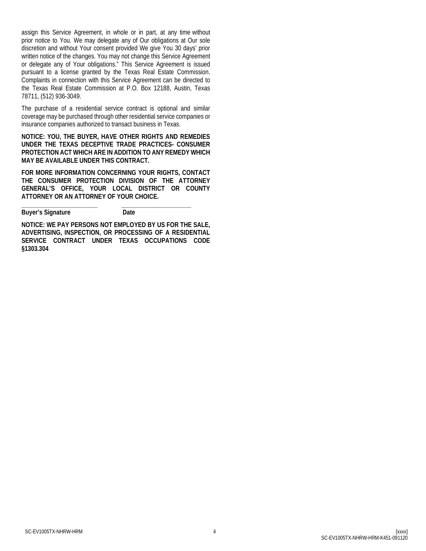assign this Service Agreement, in whole or in part, at any time without prior notice to You. We may delegate any of Our obligations at Our sole discretion and without Your consent provided We give You 30 days' prior written notice of the changes. You may not change this Service Agreement or delegate any of Your obligations." This Service Agreement is issued pursuant to a license granted by the Texas Real Estate Commission. Complaints in connection with this Service Agreement can be directed to the Texas Real Estate Commission at P.O. Box 12188, Austin, Texas 78711, (512) 936-3049.

The purchase of a residential service contract is optional and similar coverage may be purchased through other residential service companies or insurance companies authorized to transact business in Texas.

**NOTICE: YOU, THE BUYER, HAVE OTHER RIGHTS AND REMEDIES UNDER THE TEXAS DECEPTIVE TRADE PRACTICES- CONSUMER PROTECTION ACT WHICH ARE IN ADDITION TO ANY REMEDY WHICH MAY BE AVAILABLE UNDER THIS CONTRACT.**

**FOR MORE INFORMATION CONCERNING YOUR RIGHTS, CONTACT THE CONSUMER PROTECTION DIVISION OF THE ATTORNEY GENERAL'S OFFICE, YOUR LOCAL DISTRICT OR COUNTY ATTORNEY OR AN ATTORNEY OF YOUR CHOICE.**

**\_\_\_\_\_\_\_\_\_\_\_\_\_\_\_\_\_\_\_\_\_\_\_\_ \_\_\_\_\_\_\_\_\_\_\_\_\_\_\_\_\_\_\_\_\_\_ Buyer's Signature Date** 

**NOTICE: WE PAY PERSONS NOT EMPLOYED BY US FOR THE SALE, ADVERTISING, INSPECTION, OR PROCESSING OF A RESIDENTIAL SERVICE CONTRACT UNDER TEXAS OCCUPATIONS CODE §1303.304**